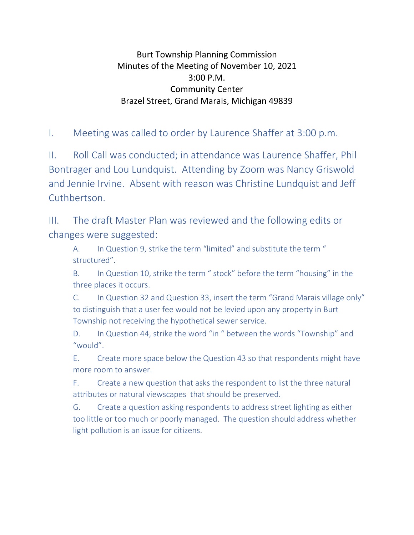## Burt Township Planning Commission Minutes of the Meeting of November 10, 2021 3:00 P.M. Community Center Brazel Street, Grand Marais, Michigan 49839

I. Meeting was called to order by Laurence Shaffer at 3:00 p.m.

II. Roll Call was conducted; in attendance was Laurence Shaffer, Phil Bontrager and Lou Lundquist. Attending by Zoom was Nancy Griswold and Jennie Irvine. Absent with reason was Christine Lundquist and Jeff Cuthbertson.

III. The draft Master Plan was reviewed and the following edits or changes were suggested:

A. In Question 9, strike the term "limited" and substitute the term " structured".

B. In Question 10, strike the term " stock" before the term "housing" in the three places it occurs.

C. In Question 32 and Question 33, insert the term "Grand Marais village only" to distinguish that a user fee would not be levied upon any property in Burt Township not receiving the hypothetical sewer service.

D. In Question 44, strike the word "in " between the words "Township" and "would".

E. Create more space below the Question 43 so that respondents might have more room to answer.

F. Create a new question that asks the respondent to list the three natural attributes or natural viewscapes that should be preserved.

G. Create a question asking respondents to address street lighting as either too little or too much or poorly managed. The question should address whether light pollution is an issue for citizens.